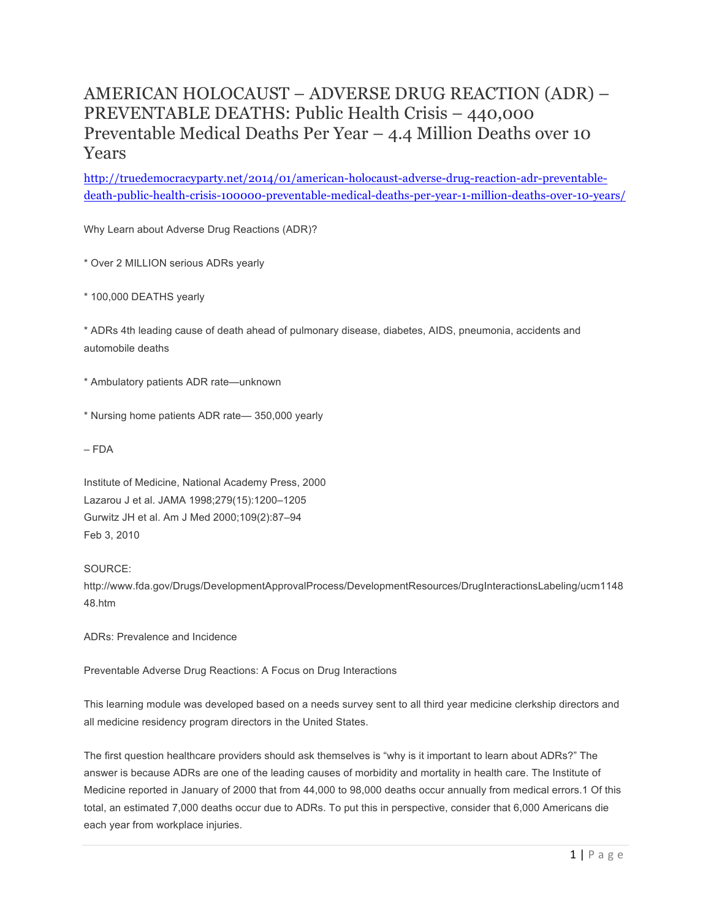# AMERICAN HOLOCAUST – ADVERSE DRUG REACTION (ADR) – PREVENTABLE DEATHS: Public Health Crisis – 440,000 Preventable Medical Deaths Per Year – 4.4 Million Deaths over 10 Years

http://truedemocracyparty.net/2014/01/american-holocaust-adverse-drug-reaction-adr-preventabledeath-public-health-crisis-100000-preventable-medical-deaths-per-year-1-million-deaths-over-10-years/

Why Learn about Adverse Drug Reactions (ADR)?

\* Over 2 MILLION serious ADRs yearly

\* 100,000 DEATHS yearly

\* ADRs 4th leading cause of death ahead of pulmonary disease, diabetes, AIDS, pneumonia, accidents and automobile deaths

\* Ambulatory patients ADR rate—unknown

\* Nursing home patients ADR rate— 350,000 yearly

– FDA

Institute of Medicine, National Academy Press, 2000 Lazarou J et al. JAMA 1998;279(15):1200–1205 Gurwitz JH et al. Am J Med 2000;109(2):87–94 Feb 3, 2010

## SOURCE:

http://www.fda.gov/Drugs/DevelopmentApprovalProcess/DevelopmentResources/DrugInteractionsLabeling/ucm1148 48.htm

ADRs: Prevalence and Incidence

Preventable Adverse Drug Reactions: A Focus on Drug Interactions

This learning module was developed based on a needs survey sent to all third year medicine clerkship directors and all medicine residency program directors in the United States.

The first question healthcare providers should ask themselves is "why is it important to learn about ADRs?" The answer is because ADRs are one of the leading causes of morbidity and mortality in health care. The Institute of Medicine reported in January of 2000 that from 44,000 to 98,000 deaths occur annually from medical errors.1 Of this total, an estimated 7,000 deaths occur due to ADRs. To put this in perspective, consider that 6,000 Americans die each year from workplace injuries.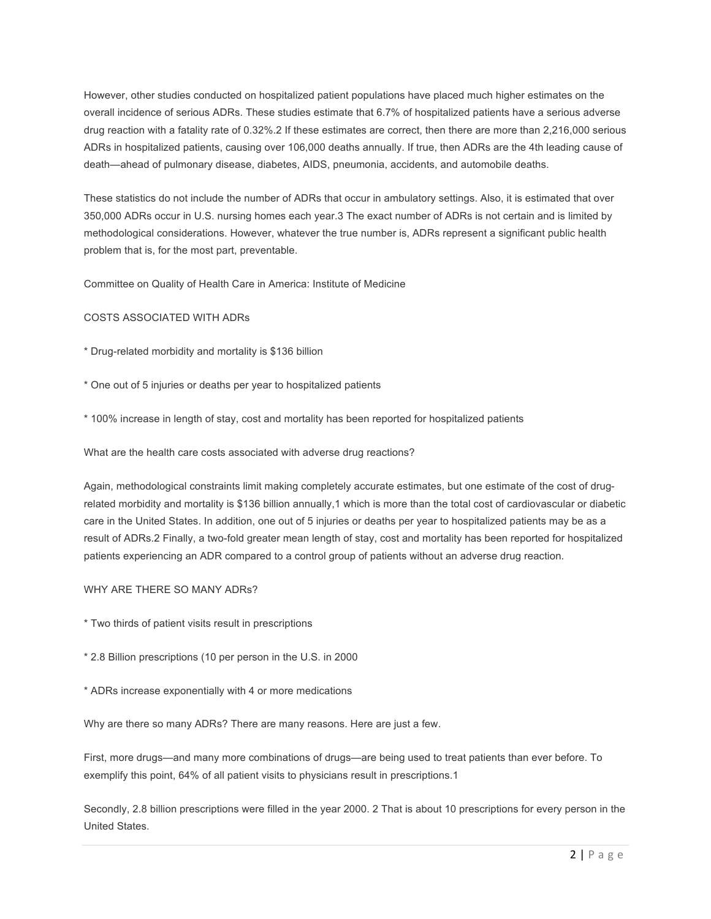However, other studies conducted on hospitalized patient populations have placed much higher estimates on the overall incidence of serious ADRs. These studies estimate that 6.7% of hospitalized patients have a serious adverse drug reaction with a fatality rate of 0.32%.2 If these estimates are correct, then there are more than 2,216,000 serious ADRs in hospitalized patients, causing over 106,000 deaths annually. If true, then ADRs are the 4th leading cause of death—ahead of pulmonary disease, diabetes, AIDS, pneumonia, accidents, and automobile deaths.

These statistics do not include the number of ADRs that occur in ambulatory settings. Also, it is estimated that over 350,000 ADRs occur in U.S. nursing homes each year.3 The exact number of ADRs is not certain and is limited by methodological considerations. However, whatever the true number is, ADRs represent a significant public health problem that is, for the most part, preventable.

Committee on Quality of Health Care in America: Institute of Medicine

## COSTS ASSOCIATED WITH ADRs

\* Drug-related morbidity and mortality is \$136 billion

\* One out of 5 injuries or deaths per year to hospitalized patients

\* 100% increase in length of stay, cost and mortality has been reported for hospitalized patients

What are the health care costs associated with adverse drug reactions?

Again, methodological constraints limit making completely accurate estimates, but one estimate of the cost of drugrelated morbidity and mortality is \$136 billion annually,1 which is more than the total cost of cardiovascular or diabetic care in the United States. In addition, one out of 5 injuries or deaths per year to hospitalized patients may be as a result of ADRs.2 Finally, a two-fold greater mean length of stay, cost and mortality has been reported for hospitalized patients experiencing an ADR compared to a control group of patients without an adverse drug reaction.

### WHY ARE THERE SO MANY ADRs?

\* Two thirds of patient visits result in prescriptions

\* 2.8 Billion prescriptions (10 per person in the U.S. in 2000

\* ADRs increase exponentially with 4 or more medications

Why are there so many ADRs? There are many reasons. Here are just a few.

First, more drugs—and many more combinations of drugs—are being used to treat patients than ever before. To exemplify this point, 64% of all patient visits to physicians result in prescriptions.1

Secondly, 2.8 billion prescriptions were filled in the year 2000. 2 That is about 10 prescriptions for every person in the United States.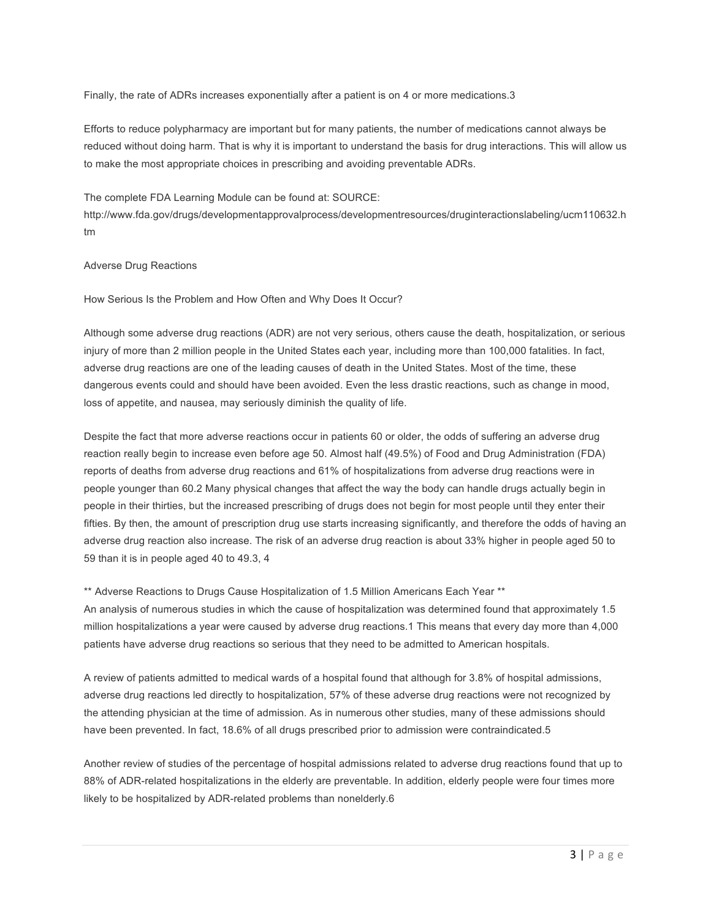Finally, the rate of ADRs increases exponentially after a patient is on 4 or more medications.3

Efforts to reduce polypharmacy are important but for many patients, the number of medications cannot always be reduced without doing harm. That is why it is important to understand the basis for drug interactions. This will allow us to make the most appropriate choices in prescribing and avoiding preventable ADRs.

The complete FDA Learning Module can be found at: SOURCE:

http://www.fda.gov/drugs/developmentapprovalprocess/developmentresources/druginteractionslabeling/ucm110632.h tm

## Adverse Drug Reactions

How Serious Is the Problem and How Often and Why Does It Occur?

Although some adverse drug reactions (ADR) are not very serious, others cause the death, hospitalization, or serious injury of more than 2 million people in the United States each year, including more than 100,000 fatalities. In fact, adverse drug reactions are one of the leading causes of death in the United States. Most of the time, these dangerous events could and should have been avoided. Even the less drastic reactions, such as change in mood, loss of appetite, and nausea, may seriously diminish the quality of life.

Despite the fact that more adverse reactions occur in patients 60 or older, the odds of suffering an adverse drug reaction really begin to increase even before age 50. Almost half (49.5%) of Food and Drug Administration (FDA) reports of deaths from adverse drug reactions and 61% of hospitalizations from adverse drug reactions were in people younger than 60.2 Many physical changes that affect the way the body can handle drugs actually begin in people in their thirties, but the increased prescribing of drugs does not begin for most people until they enter their fifties. By then, the amount of prescription drug use starts increasing significantly, and therefore the odds of having an adverse drug reaction also increase. The risk of an adverse drug reaction is about 33% higher in people aged 50 to 59 than it is in people aged 40 to 49.3, 4

\*\* Adverse Reactions to Drugs Cause Hospitalization of 1.5 Million Americans Each Year \*\* An analysis of numerous studies in which the cause of hospitalization was determined found that approximately 1.5 million hospitalizations a year were caused by adverse drug reactions.1 This means that every day more than 4,000 patients have adverse drug reactions so serious that they need to be admitted to American hospitals.

A review of patients admitted to medical wards of a hospital found that although for 3.8% of hospital admissions, adverse drug reactions led directly to hospitalization, 57% of these adverse drug reactions were not recognized by the attending physician at the time of admission. As in numerous other studies, many of these admissions should have been prevented. In fact, 18.6% of all drugs prescribed prior to admission were contraindicated.5

Another review of studies of the percentage of hospital admissions related to adverse drug reactions found that up to 88% of ADR-related hospitalizations in the elderly are preventable. In addition, elderly people were four times more likely to be hospitalized by ADR-related problems than nonelderly.6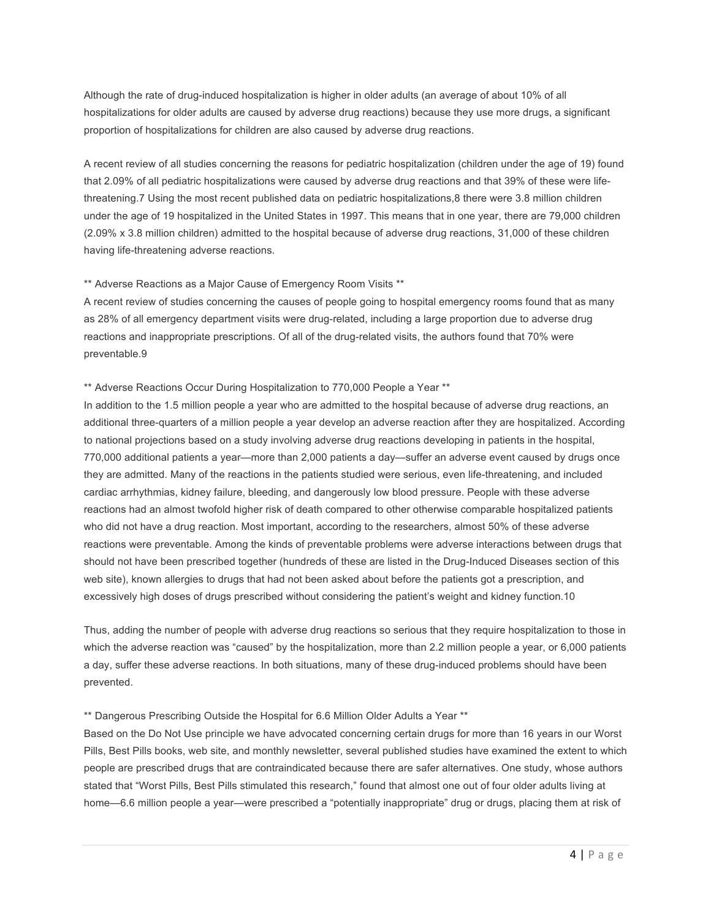Although the rate of drug-induced hospitalization is higher in older adults (an average of about 10% of all hospitalizations for older adults are caused by adverse drug reactions) because they use more drugs, a significant proportion of hospitalizations for children are also caused by adverse drug reactions.

A recent review of all studies concerning the reasons for pediatric hospitalization (children under the age of 19) found that 2.09% of all pediatric hospitalizations were caused by adverse drug reactions and that 39% of these were lifethreatening.7 Using the most recent published data on pediatric hospitalizations,8 there were 3.8 million children under the age of 19 hospitalized in the United States in 1997. This means that in one year, there are 79,000 children (2.09% x 3.8 million children) admitted to the hospital because of adverse drug reactions, 31,000 of these children having life-threatening adverse reactions.

#### \*\* Adverse Reactions as a Major Cause of Emergency Room Visits \*\*

A recent review of studies concerning the causes of people going to hospital emergency rooms found that as many as 28% of all emergency department visits were drug-related, including a large proportion due to adverse drug reactions and inappropriate prescriptions. Of all of the drug-related visits, the authors found that 70% were preventable.9

#### \*\* Adverse Reactions Occur During Hospitalization to 770,000 People a Year \*\*

In addition to the 1.5 million people a year who are admitted to the hospital because of adverse drug reactions, an additional three-quarters of a million people a year develop an adverse reaction after they are hospitalized. According to national projections based on a study involving adverse drug reactions developing in patients in the hospital, 770,000 additional patients a year—more than 2,000 patients a day—suffer an adverse event caused by drugs once they are admitted. Many of the reactions in the patients studied were serious, even life-threatening, and included cardiac arrhythmias, kidney failure, bleeding, and dangerously low blood pressure. People with these adverse reactions had an almost twofold higher risk of death compared to other otherwise comparable hospitalized patients who did not have a drug reaction. Most important, according to the researchers, almost 50% of these adverse reactions were preventable. Among the kinds of preventable problems were adverse interactions between drugs that should not have been prescribed together (hundreds of these are listed in the Drug-Induced Diseases section of this web site), known allergies to drugs that had not been asked about before the patients got a prescription, and excessively high doses of drugs prescribed without considering the patient's weight and kidney function.10

Thus, adding the number of people with adverse drug reactions so serious that they require hospitalization to those in which the adverse reaction was "caused" by the hospitalization, more than 2.2 million people a year, or 6,000 patients a day, suffer these adverse reactions. In both situations, many of these drug-induced problems should have been prevented.

#### \*\* Dangerous Prescribing Outside the Hospital for 6.6 Million Older Adults a Year \*\*

Based on the Do Not Use principle we have advocated concerning certain drugs for more than 16 years in our Worst Pills, Best Pills books, web site, and monthly newsletter, several published studies have examined the extent to which people are prescribed drugs that are contraindicated because there are safer alternatives. One study, whose authors stated that "Worst Pills, Best Pills stimulated this research," found that almost one out of four older adults living at home—6.6 million people a year—were prescribed a "potentially inappropriate" drug or drugs, placing them at risk of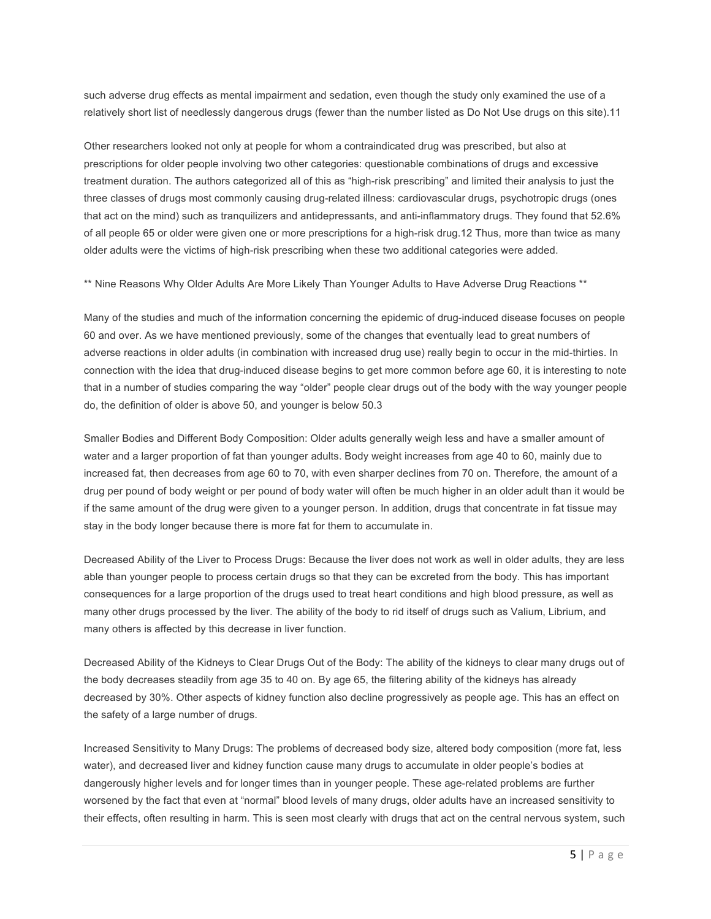such adverse drug effects as mental impairment and sedation, even though the study only examined the use of a relatively short list of needlessly dangerous drugs (fewer than the number listed as Do Not Use drugs on this site).11

Other researchers looked not only at people for whom a contraindicated drug was prescribed, but also at prescriptions for older people involving two other categories: questionable combinations of drugs and excessive treatment duration. The authors categorized all of this as "high-risk prescribing" and limited their analysis to just the three classes of drugs most commonly causing drug-related illness: cardiovascular drugs, psychotropic drugs (ones that act on the mind) such as tranquilizers and antidepressants, and anti-inflammatory drugs. They found that 52.6% of all people 65 or older were given one or more prescriptions for a high-risk drug.12 Thus, more than twice as many older adults were the victims of high-risk prescribing when these two additional categories were added.

\*\* Nine Reasons Why Older Adults Are More Likely Than Younger Adults to Have Adverse Drug Reactions \*\*

Many of the studies and much of the information concerning the epidemic of drug-induced disease focuses on people 60 and over. As we have mentioned previously, some of the changes that eventually lead to great numbers of adverse reactions in older adults (in combination with increased drug use) really begin to occur in the mid-thirties. In connection with the idea that drug-induced disease begins to get more common before age 60, it is interesting to note that in a number of studies comparing the way "older" people clear drugs out of the body with the way younger people do, the definition of older is above 50, and younger is below 50.3

Smaller Bodies and Different Body Composition: Older adults generally weigh less and have a smaller amount of water and a larger proportion of fat than younger adults. Body weight increases from age 40 to 60, mainly due to increased fat, then decreases from age 60 to 70, with even sharper declines from 70 on. Therefore, the amount of a drug per pound of body weight or per pound of body water will often be much higher in an older adult than it would be if the same amount of the drug were given to a younger person. In addition, drugs that concentrate in fat tissue may stay in the body longer because there is more fat for them to accumulate in.

Decreased Ability of the Liver to Process Drugs: Because the liver does not work as well in older adults, they are less able than younger people to process certain drugs so that they can be excreted from the body. This has important consequences for a large proportion of the drugs used to treat heart conditions and high blood pressure, as well as many other drugs processed by the liver. The ability of the body to rid itself of drugs such as Valium, Librium, and many others is affected by this decrease in liver function.

Decreased Ability of the Kidneys to Clear Drugs Out of the Body: The ability of the kidneys to clear many drugs out of the body decreases steadily from age 35 to 40 on. By age 65, the filtering ability of the kidneys has already decreased by 30%. Other aspects of kidney function also decline progressively as people age. This has an effect on the safety of a large number of drugs.

Increased Sensitivity to Many Drugs: The problems of decreased body size, altered body composition (more fat, less water), and decreased liver and kidney function cause many drugs to accumulate in older people's bodies at dangerously higher levels and for longer times than in younger people. These age-related problems are further worsened by the fact that even at "normal" blood levels of many drugs, older adults have an increased sensitivity to their effects, often resulting in harm. This is seen most clearly with drugs that act on the central nervous system, such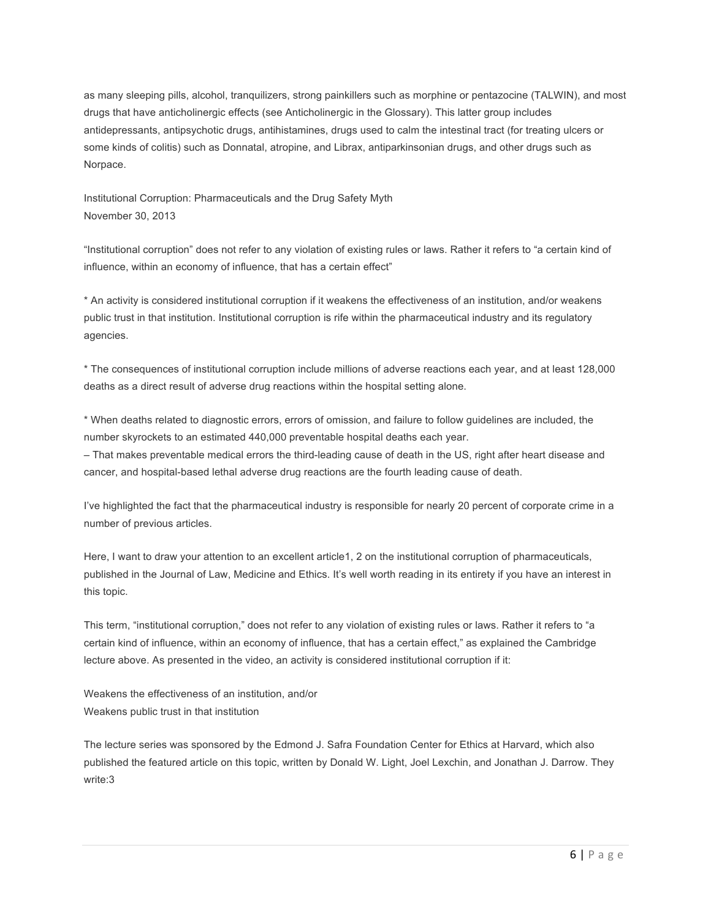as many sleeping pills, alcohol, tranquilizers, strong painkillers such as morphine or pentazocine (TALWIN), and most drugs that have anticholinergic effects (see Anticholinergic in the Glossary). This latter group includes antidepressants, antipsychotic drugs, antihistamines, drugs used to calm the intestinal tract (for treating ulcers or some kinds of colitis) such as Donnatal, atropine, and Librax, antiparkinsonian drugs, and other drugs such as Norpace.

Institutional Corruption: Pharmaceuticals and the Drug Safety Myth November 30, 2013

"Institutional corruption" does not refer to any violation of existing rules or laws. Rather it refers to "a certain kind of influence, within an economy of influence, that has a certain effect"

\* An activity is considered institutional corruption if it weakens the effectiveness of an institution, and/or weakens public trust in that institution. Institutional corruption is rife within the pharmaceutical industry and its regulatory agencies.

\* The consequences of institutional corruption include millions of adverse reactions each year, and at least 128,000 deaths as a direct result of adverse drug reactions within the hospital setting alone.

\* When deaths related to diagnostic errors, errors of omission, and failure to follow guidelines are included, the number skyrockets to an estimated 440,000 preventable hospital deaths each year.

– That makes preventable medical errors the third-leading cause of death in the US, right after heart disease and cancer, and hospital-based lethal adverse drug reactions are the fourth leading cause of death.

I've highlighted the fact that the pharmaceutical industry is responsible for nearly 20 percent of corporate crime in a number of previous articles.

Here, I want to draw your attention to an excellent article1, 2 on the institutional corruption of pharmaceuticals, published in the Journal of Law, Medicine and Ethics. It's well worth reading in its entirety if you have an interest in this topic.

This term, "institutional corruption," does not refer to any violation of existing rules or laws. Rather it refers to "a certain kind of influence, within an economy of influence, that has a certain effect," as explained the Cambridge lecture above. As presented in the video, an activity is considered institutional corruption if it:

Weakens the effectiveness of an institution, and/or Weakens public trust in that institution

The lecture series was sponsored by the Edmond J. Safra Foundation Center for Ethics at Harvard, which also published the featured article on this topic, written by Donald W. Light, Joel Lexchin, and Jonathan J. Darrow. They write:3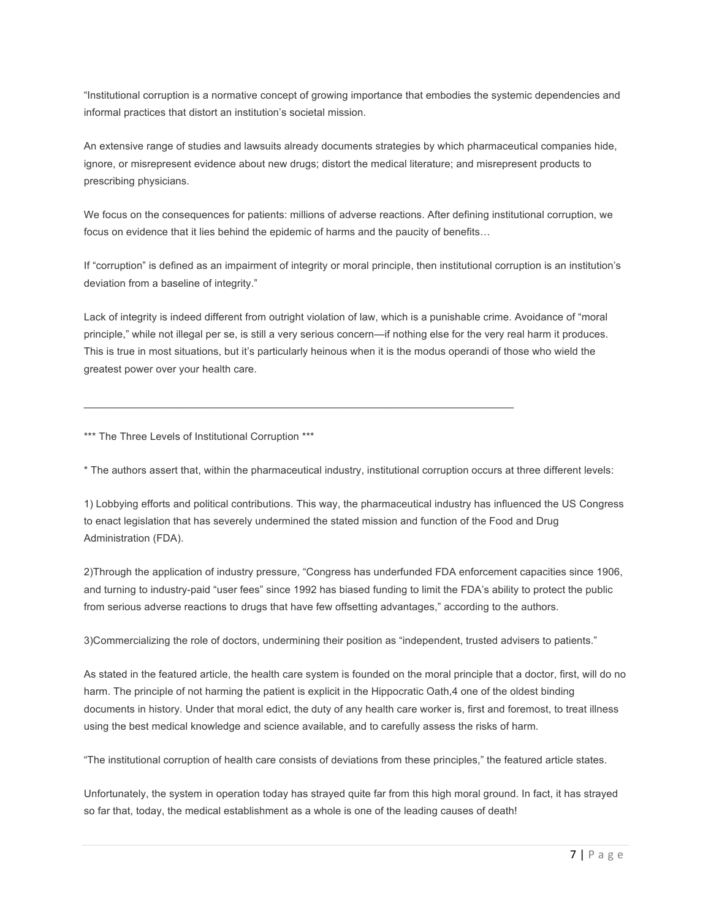"Institutional corruption is a normative concept of growing importance that embodies the systemic dependencies and informal practices that distort an institution's societal mission.

An extensive range of studies and lawsuits already documents strategies by which pharmaceutical companies hide, ignore, or misrepresent evidence about new drugs; distort the medical literature; and misrepresent products to prescribing physicians.

We focus on the consequences for patients: millions of adverse reactions. After defining institutional corruption, we focus on evidence that it lies behind the epidemic of harms and the paucity of benefits…

If "corruption" is defined as an impairment of integrity or moral principle, then institutional corruption is an institution's deviation from a baseline of integrity."

Lack of integrity is indeed different from outright violation of law, which is a punishable crime. Avoidance of "moral principle," while not illegal per se, is still a very serious concern—if nothing else for the very real harm it produces. This is true in most situations, but it's particularly heinous when it is the modus operandi of those who wield the greatest power over your health care.

 $\mathcal{L}_\mathcal{L}$  , and the state of the state of the state of the state of the state of the state of the state of the state of

\*\*\* The Three Levels of Institutional Corruption \*\*\*

\* The authors assert that, within the pharmaceutical industry, institutional corruption occurs at three different levels:

1) Lobbying efforts and political contributions. This way, the pharmaceutical industry has influenced the US Congress to enact legislation that has severely undermined the stated mission and function of the Food and Drug Administration (FDA).

2)Through the application of industry pressure, "Congress has underfunded FDA enforcement capacities since 1906, and turning to industry-paid "user fees" since 1992 has biased funding to limit the FDA's ability to protect the public from serious adverse reactions to drugs that have few offsetting advantages," according to the authors.

3)Commercializing the role of doctors, undermining their position as "independent, trusted advisers to patients."

As stated in the featured article, the health care system is founded on the moral principle that a doctor, first, will do no harm. The principle of not harming the patient is explicit in the Hippocratic Oath,4 one of the oldest binding documents in history. Under that moral edict, the duty of any health care worker is, first and foremost, to treat illness using the best medical knowledge and science available, and to carefully assess the risks of harm.

"The institutional corruption of health care consists of deviations from these principles," the featured article states.

Unfortunately, the system in operation today has strayed quite far from this high moral ground. In fact, it has strayed so far that, today, the medical establishment as a whole is one of the leading causes of death!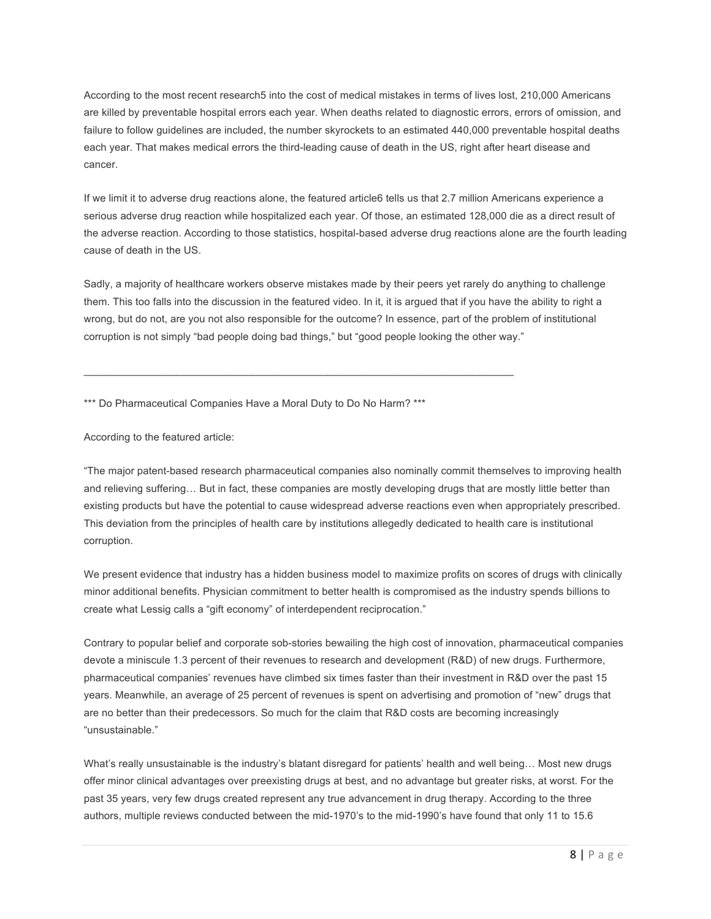According to the most recent research5 into the cost of medical mistakes in terms of lives lost, 210,000 Americans are killed by preventable hospital errors each year. When deaths related to diagnostic errors, errors of omission, and failure to follow guidelines are included, the number skyrockets to an estimated 440,000 preventable hospital deaths each year. That makes medical errors the third-leading cause of death in the US, right after heart disease and cancer.

If we limit it to adverse drug reactions alone, the featured article6 tells us that 2.7 million Americans experience a serious adverse drug reaction while hospitalized each year. Of those, an estimated 128,000 die as a direct result of the adverse reaction. According to those statistics, hospital-based adverse drug reactions alone are the fourth leading cause of death in the US.

Sadly, a majority of healthcare workers observe mistakes made by their peers yet rarely do anything to challenge them. This too falls into the discussion in the featured video. In it, it is argued that if you have the ability to right a wrong, but do not, are you not also responsible for the outcome? In essence, part of the problem of institutional corruption is not simply "bad people doing bad things," but "good people looking the other way."

\*\*\* Do Pharmaceutical Companies Have a Moral Duty to Do No Harm? \*\*\*

 $\mathcal{L}_\mathcal{L} = \{ \mathcal{L}_\mathcal{L} = \{ \mathcal{L}_\mathcal{L} = \{ \mathcal{L}_\mathcal{L} = \{ \mathcal{L}_\mathcal{L} = \{ \mathcal{L}_\mathcal{L} = \{ \mathcal{L}_\mathcal{L} = \{ \mathcal{L}_\mathcal{L} = \{ \mathcal{L}_\mathcal{L} = \{ \mathcal{L}_\mathcal{L} = \{ \mathcal{L}_\mathcal{L} = \{ \mathcal{L}_\mathcal{L} = \{ \mathcal{L}_\mathcal{L} = \{ \mathcal{L}_\mathcal{L} = \{ \mathcal{L}_\mathcal{$ 

According to the featured article:

"The major patent-based research pharmaceutical companies also nominally commit themselves to improving health and relieving suffering… But in fact, these companies are mostly developing drugs that are mostly little better than existing products but have the potential to cause widespread adverse reactions even when appropriately prescribed. This deviation from the principles of health care by institutions allegedly dedicated to health care is institutional corruption.

We present evidence that industry has a hidden business model to maximize profits on scores of drugs with clinically minor additional benefits. Physician commitment to better health is compromised as the industry spends billions to create what Lessig calls a "gift economy" of interdependent reciprocation."

Contrary to popular belief and corporate sob-stories bewailing the high cost of innovation, pharmaceutical companies devote a miniscule 1.3 percent of their revenues to research and development (R&D) of new drugs. Furthermore, pharmaceutical companies' revenues have climbed six times faster than their investment in R&D over the past 15 years. Meanwhile, an average of 25 percent of revenues is spent on advertising and promotion of "new" drugs that are no better than their predecessors. So much for the claim that R&D costs are becoming increasingly "unsustainable."

What's really unsustainable is the industry's blatant disregard for patients' health and well being… Most new drugs offer minor clinical advantages over preexisting drugs at best, and no advantage but greater risks, at worst. For the past 35 years, very few drugs created represent any true advancement in drug therapy. According to the three authors, multiple reviews conducted between the mid-1970's to the mid-1990's have found that only 11 to 15.6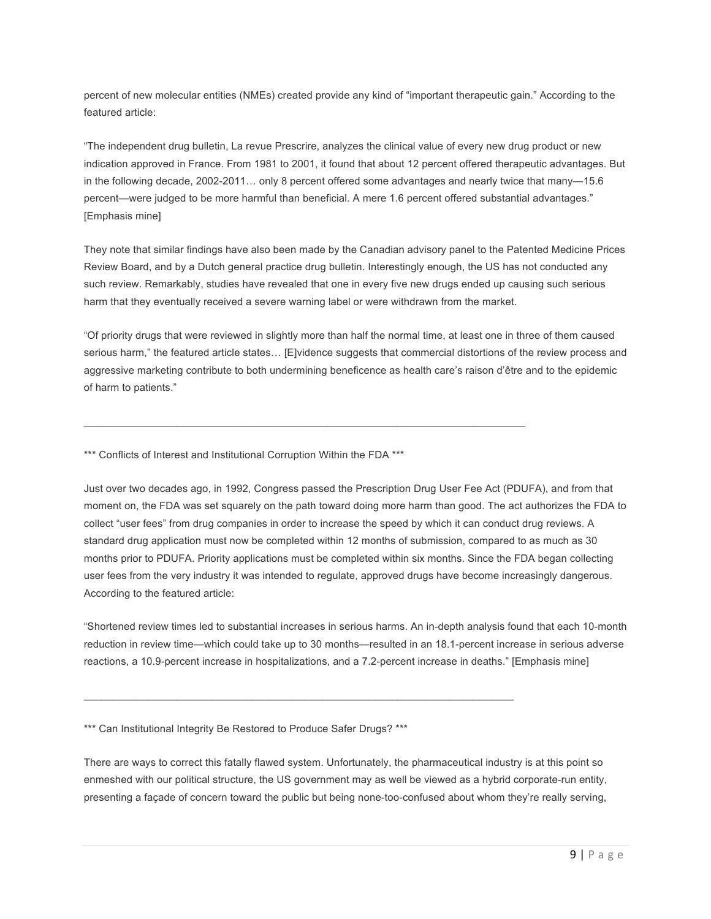percent of new molecular entities (NMEs) created provide any kind of "important therapeutic gain." According to the featured article:

"The independent drug bulletin, La revue Prescrire, analyzes the clinical value of every new drug product or new indication approved in France. From 1981 to 2001, it found that about 12 percent offered therapeutic advantages. But in the following decade, 2002-2011… only 8 percent offered some advantages and nearly twice that many—15.6 percent—were judged to be more harmful than beneficial. A mere 1.6 percent offered substantial advantages." [Emphasis mine]

They note that similar findings have also been made by the Canadian advisory panel to the Patented Medicine Prices Review Board, and by a Dutch general practice drug bulletin. Interestingly enough, the US has not conducted any such review. Remarkably, studies have revealed that one in every five new drugs ended up causing such serious harm that they eventually received a severe warning label or were withdrawn from the market.

"Of priority drugs that were reviewed in slightly more than half the normal time, at least one in three of them caused serious harm," the featured article states… [E]vidence suggests that commercial distortions of the review process and aggressive marketing contribute to both undermining beneficence as health care's raison d'être and to the epidemic of harm to patients."

 $\mathcal{L}_\mathcal{L} = \mathcal{L}_\mathcal{L} = \mathcal{L}_\mathcal{L} = \mathcal{L}_\mathcal{L} = \mathcal{L}_\mathcal{L} = \mathcal{L}_\mathcal{L} = \mathcal{L}_\mathcal{L} = \mathcal{L}_\mathcal{L} = \mathcal{L}_\mathcal{L} = \mathcal{L}_\mathcal{L} = \mathcal{L}_\mathcal{L} = \mathcal{L}_\mathcal{L} = \mathcal{L}_\mathcal{L} = \mathcal{L}_\mathcal{L} = \mathcal{L}_\mathcal{L} = \mathcal{L}_\mathcal{L} = \mathcal{L}_\mathcal{L}$ 

\*\*\* Conflicts of Interest and Institutional Corruption Within the FDA \*\*\*

Just over two decades ago, in 1992, Congress passed the Prescription Drug User Fee Act (PDUFA), and from that moment on, the FDA was set squarely on the path toward doing more harm than good. The act authorizes the FDA to collect "user fees" from drug companies in order to increase the speed by which it can conduct drug reviews. A standard drug application must now be completed within 12 months of submission, compared to as much as 30 months prior to PDUFA. Priority applications must be completed within six months. Since the FDA began collecting user fees from the very industry it was intended to regulate, approved drugs have become increasingly dangerous. According to the featured article:

"Shortened review times led to substantial increases in serious harms. An in-depth analysis found that each 10-month reduction in review time—which could take up to 30 months—resulted in an 18.1-percent increase in serious adverse reactions, a 10.9-percent increase in hospitalizations, and a 7.2-percent increase in deaths." [Emphasis mine]

\*\*\* Can Institutional Integrity Be Restored to Produce Safer Drugs? \*\*\*

 $\mathcal{L}_\mathcal{L} = \mathcal{L}_\mathcal{L} = \mathcal{L}_\mathcal{L} = \mathcal{L}_\mathcal{L} = \mathcal{L}_\mathcal{L} = \mathcal{L}_\mathcal{L} = \mathcal{L}_\mathcal{L} = \mathcal{L}_\mathcal{L} = \mathcal{L}_\mathcal{L} = \mathcal{L}_\mathcal{L} = \mathcal{L}_\mathcal{L} = \mathcal{L}_\mathcal{L} = \mathcal{L}_\mathcal{L} = \mathcal{L}_\mathcal{L} = \mathcal{L}_\mathcal{L} = \mathcal{L}_\mathcal{L} = \mathcal{L}_\mathcal{L}$ 

There are ways to correct this fatally flawed system. Unfortunately, the pharmaceutical industry is at this point so enmeshed with our political structure, the US government may as well be viewed as a hybrid corporate-run entity, presenting a façade of concern toward the public but being none-too-confused about whom they're really serving,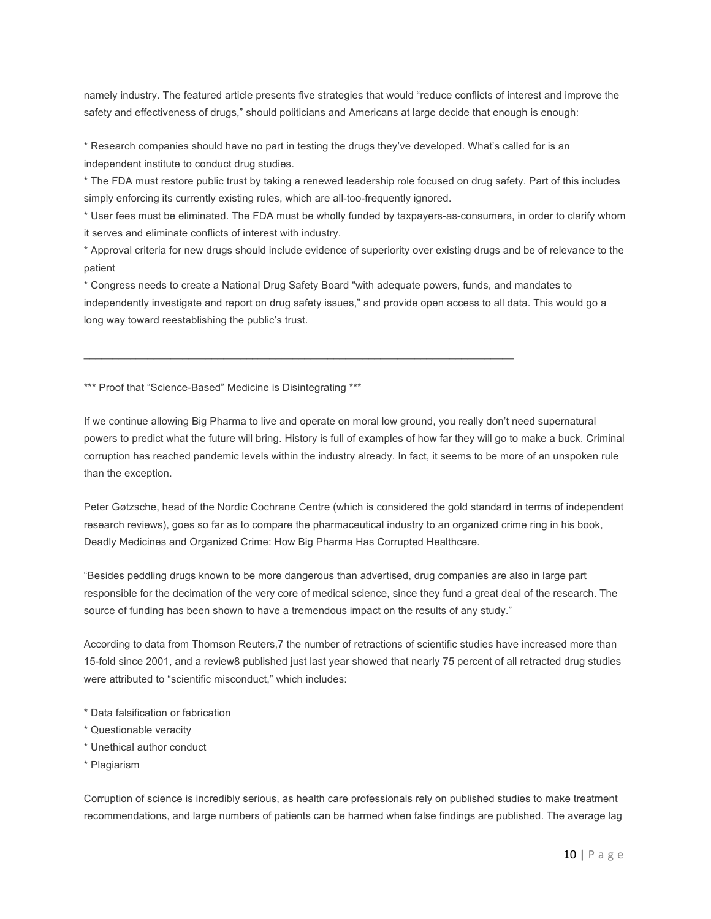namely industry. The featured article presents five strategies that would "reduce conflicts of interest and improve the safety and effectiveness of drugs," should politicians and Americans at large decide that enough is enough:

\* Research companies should have no part in testing the drugs they've developed. What's called for is an independent institute to conduct drug studies.

\* The FDA must restore public trust by taking a renewed leadership role focused on drug safety. Part of this includes simply enforcing its currently existing rules, which are all-too-frequently ignored.

\* User fees must be eliminated. The FDA must be wholly funded by taxpayers-as-consumers, in order to clarify whom it serves and eliminate conflicts of interest with industry.

\* Approval criteria for new drugs should include evidence of superiority over existing drugs and be of relevance to the patient

\* Congress needs to create a National Drug Safety Board "with adequate powers, funds, and mandates to independently investigate and report on drug safety issues," and provide open access to all data. This would go a long way toward reestablishing the public's trust.

 $\mathcal{L}_\mathcal{L} = \mathcal{L}_\mathcal{L} = \mathcal{L}_\mathcal{L} = \mathcal{L}_\mathcal{L} = \mathcal{L}_\mathcal{L} = \mathcal{L}_\mathcal{L} = \mathcal{L}_\mathcal{L} = \mathcal{L}_\mathcal{L} = \mathcal{L}_\mathcal{L} = \mathcal{L}_\mathcal{L} = \mathcal{L}_\mathcal{L} = \mathcal{L}_\mathcal{L} = \mathcal{L}_\mathcal{L} = \mathcal{L}_\mathcal{L} = \mathcal{L}_\mathcal{L} = \mathcal{L}_\mathcal{L} = \mathcal{L}_\mathcal{L}$ 

\*\*\* Proof that "Science-Based" Medicine is Disintegrating \*\*\*

If we continue allowing Big Pharma to live and operate on moral low ground, you really don't need supernatural powers to predict what the future will bring. History is full of examples of how far they will go to make a buck. Criminal corruption has reached pandemic levels within the industry already. In fact, it seems to be more of an unspoken rule than the exception.

Peter Gøtzsche, head of the Nordic Cochrane Centre (which is considered the gold standard in terms of independent research reviews), goes so far as to compare the pharmaceutical industry to an organized crime ring in his book, Deadly Medicines and Organized Crime: How Big Pharma Has Corrupted Healthcare.

"Besides peddling drugs known to be more dangerous than advertised, drug companies are also in large part responsible for the decimation of the very core of medical science, since they fund a great deal of the research. The source of funding has been shown to have a tremendous impact on the results of any study."

According to data from Thomson Reuters,7 the number of retractions of scientific studies have increased more than 15-fold since 2001, and a review8 published just last year showed that nearly 75 percent of all retracted drug studies were attributed to "scientific misconduct," which includes:

- \* Data falsification or fabrication
- \* Questionable veracity
- \* Unethical author conduct
- \* Plagiarism

Corruption of science is incredibly serious, as health care professionals rely on published studies to make treatment recommendations, and large numbers of patients can be harmed when false findings are published. The average lag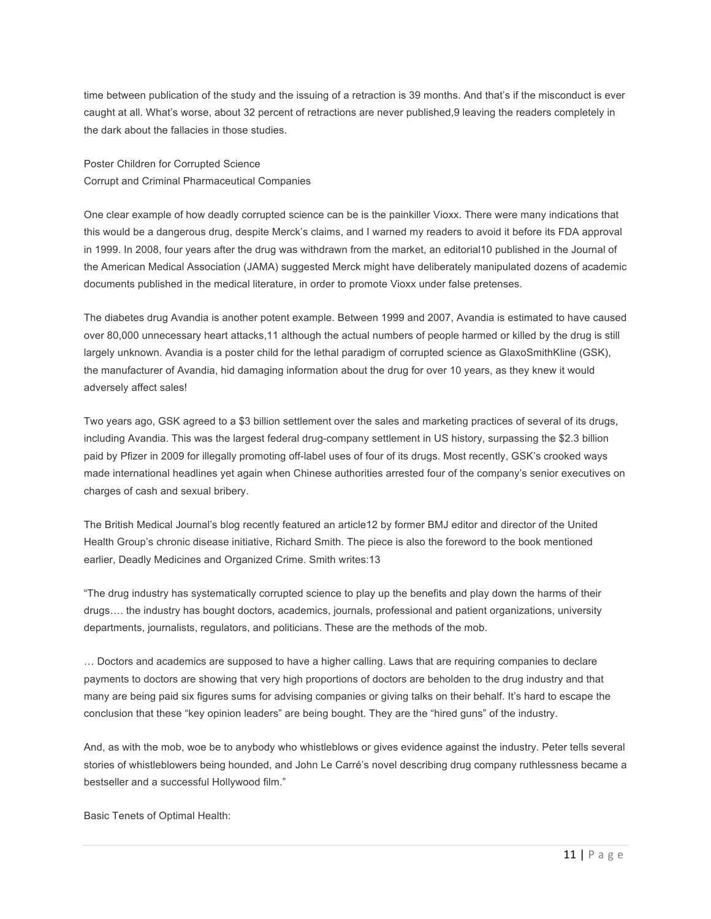time between publication of the study and the issuing of a retraction is 39 months. And that's if the misconduct is ever caught at all. What's worse, about 32 percent of retractions are never published,9 leaving the readers completely in the dark about the fallacies in those studies.

Poster Children for Corrupted Science Corrupt and Criminal Pharmaceutical Companies

One clear example of how deadly corrupted science can be is the painkiller Vioxx. There were many indications that this would be a dangerous drug, despite Merck's claims, and I warned my readers to avoid it before its FDA approval in 1999. In 2008, four years after the drug was withdrawn from the market, an editorial10 published in the Journal of the American Medical Association (JAMA) suggested Merck might have deliberately manipulated dozens of academic documents published in the medical literature, in order to promote Vioxx under false pretenses.

The diabetes drug Avandia is another potent example. Between 1999 and 2007, Avandia is estimated to have caused over 80,000 unnecessary heart attacks,11 although the actual numbers of people harmed or killed by the drug is still largely unknown. Avandia is a poster child for the lethal paradigm of corrupted science as GlaxoSmithKline (GSK), the manufacturer of Avandia, hid damaging information about the drug for over 10 years, as they knew it would adversely affect sales!

Two years ago, GSK agreed to a \$3 billion settlement over the sales and marketing practices of several of its drugs, including Avandia. This was the largest federal drug-company settlement in US history, surpassing the \$2.3 billion paid by Pfizer in 2009 for illegally promoting off-label uses of four of its drugs. Most recently, GSK's crooked ways made international headlines yet again when Chinese authorities arrested four of the company's senior executives on charges of cash and sexual bribery.

The British Medical Journal's blog recently featured an article12 by former BMJ editor and director of the United Health Group's chronic disease initiative, Richard Smith. The piece is also the foreword to the book mentioned earlier, Deadly Medicines and Organized Crime. Smith writes:13

"The drug industry has systematically corrupted science to play up the benefits and play down the harms of their drugs…. the industry has bought doctors, academics, journals, professional and patient organizations, university departments, journalists, regulators, and politicians. These are the methods of the mob.

… Doctors and academics are supposed to have a higher calling. Laws that are requiring companies to declare payments to doctors are showing that very high proportions of doctors are beholden to the drug industry and that many are being paid six figures sums for advising companies or giving talks on their behalf. It's hard to escape the conclusion that these "key opinion leaders" are being bought. They are the "hired guns" of the industry.

And, as with the mob, woe be to anybody who whistleblows or gives evidence against the industry. Peter tells several stories of whistleblowers being hounded, and John Le Carré's novel describing drug company ruthlessness became a bestseller and a successful Hollywood film."

Basic Tenets of Optimal Health: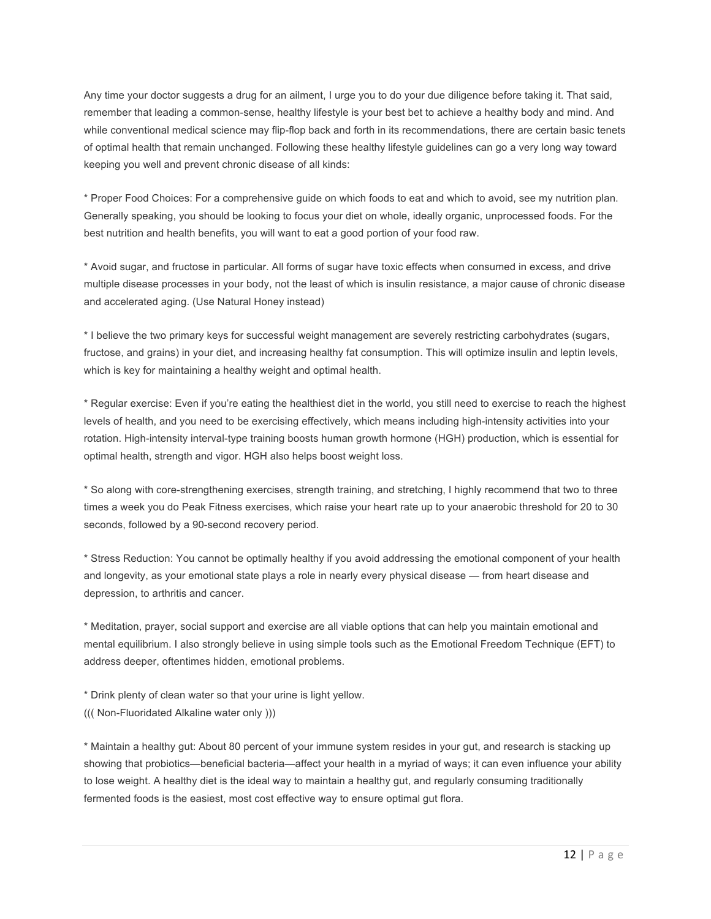Any time your doctor suggests a drug for an ailment, I urge you to do your due diligence before taking it. That said, remember that leading a common-sense, healthy lifestyle is your best bet to achieve a healthy body and mind. And while conventional medical science may flip-flop back and forth in its recommendations, there are certain basic tenets of optimal health that remain unchanged. Following these healthy lifestyle guidelines can go a very long way toward keeping you well and prevent chronic disease of all kinds:

\* Proper Food Choices: For a comprehensive guide on which foods to eat and which to avoid, see my nutrition plan. Generally speaking, you should be looking to focus your diet on whole, ideally organic, unprocessed foods. For the best nutrition and health benefits, you will want to eat a good portion of your food raw.

\* Avoid sugar, and fructose in particular. All forms of sugar have toxic effects when consumed in excess, and drive multiple disease processes in your body, not the least of which is insulin resistance, a major cause of chronic disease and accelerated aging. (Use Natural Honey instead)

\* I believe the two primary keys for successful weight management are severely restricting carbohydrates (sugars, fructose, and grains) in your diet, and increasing healthy fat consumption. This will optimize insulin and leptin levels, which is key for maintaining a healthy weight and optimal health.

\* Regular exercise: Even if you're eating the healthiest diet in the world, you still need to exercise to reach the highest levels of health, and you need to be exercising effectively, which means including high-intensity activities into your rotation. High-intensity interval-type training boosts human growth hormone (HGH) production, which is essential for optimal health, strength and vigor. HGH also helps boost weight loss.

\* So along with core-strengthening exercises, strength training, and stretching, I highly recommend that two to three times a week you do Peak Fitness exercises, which raise your heart rate up to your anaerobic threshold for 20 to 30 seconds, followed by a 90-second recovery period.

\* Stress Reduction: You cannot be optimally healthy if you avoid addressing the emotional component of your health and longevity, as your emotional state plays a role in nearly every physical disease — from heart disease and depression, to arthritis and cancer.

\* Meditation, prayer, social support and exercise are all viable options that can help you maintain emotional and mental equilibrium. I also strongly believe in using simple tools such as the Emotional Freedom Technique (EFT) to address deeper, oftentimes hidden, emotional problems.

\* Drink plenty of clean water so that your urine is light yellow.

((( Non-Fluoridated Alkaline water only )))

\* Maintain a healthy gut: About 80 percent of your immune system resides in your gut, and research is stacking up showing that probiotics—beneficial bacteria—affect your health in a myriad of ways; it can even influence your ability to lose weight. A healthy diet is the ideal way to maintain a healthy gut, and regularly consuming traditionally fermented foods is the easiest, most cost effective way to ensure optimal gut flora.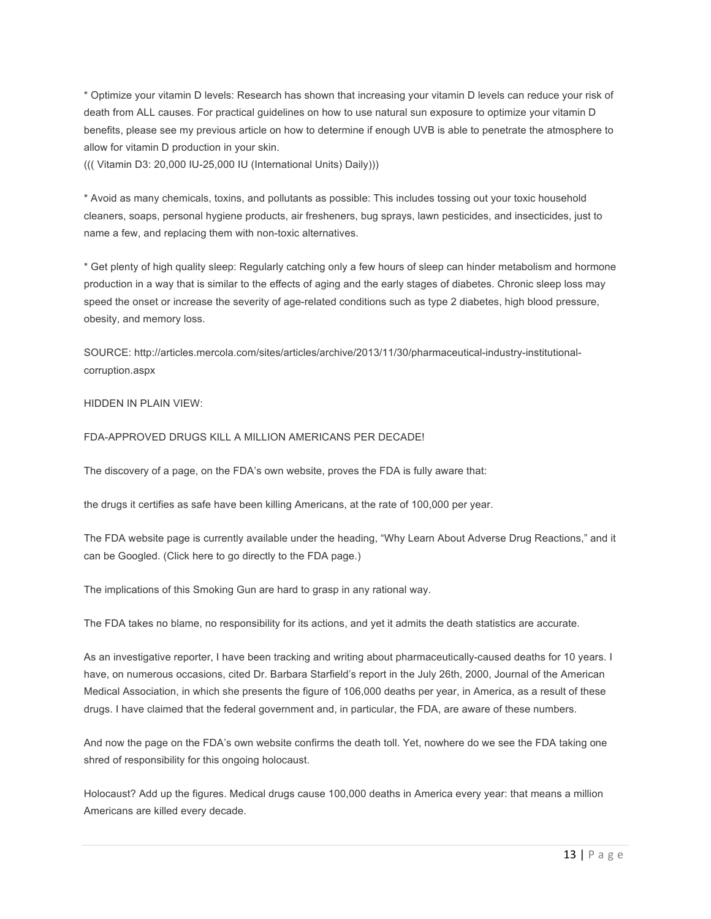\* Optimize your vitamin D levels: Research has shown that increasing your vitamin D levels can reduce your risk of death from ALL causes. For practical guidelines on how to use natural sun exposure to optimize your vitamin D benefits, please see my previous article on how to determine if enough UVB is able to penetrate the atmosphere to allow for vitamin D production in your skin.

((( Vitamin D3: 20,000 IU-25,000 IU (International Units) Daily)))

\* Avoid as many chemicals, toxins, and pollutants as possible: This includes tossing out your toxic household cleaners, soaps, personal hygiene products, air fresheners, bug sprays, lawn pesticides, and insecticides, just to name a few, and replacing them with non-toxic alternatives.

\* Get plenty of high quality sleep: Regularly catching only a few hours of sleep can hinder metabolism and hormone production in a way that is similar to the effects of aging and the early stages of diabetes. Chronic sleep loss may speed the onset or increase the severity of age-related conditions such as type 2 diabetes, high blood pressure, obesity, and memory loss.

SOURCE: http://articles.mercola.com/sites/articles/archive/2013/11/30/pharmaceutical-industry-institutionalcorruption.aspx

#### HIDDEN IN PLAIN VIEW:

#### FDA-APPROVED DRUGS KILL A MILLION AMERICANS PER DECADE!

The discovery of a page, on the FDA's own website, proves the FDA is fully aware that:

the drugs it certifies as safe have been killing Americans, at the rate of 100,000 per year.

The FDA website page is currently available under the heading, "Why Learn About Adverse Drug Reactions," and it can be Googled. (Click here to go directly to the FDA page.)

The implications of this Smoking Gun are hard to grasp in any rational way.

The FDA takes no blame, no responsibility for its actions, and yet it admits the death statistics are accurate.

As an investigative reporter, I have been tracking and writing about pharmaceutically-caused deaths for 10 years. I have, on numerous occasions, cited Dr. Barbara Starfield's report in the July 26th, 2000, Journal of the American Medical Association, in which she presents the figure of 106,000 deaths per year, in America, as a result of these drugs. I have claimed that the federal government and, in particular, the FDA, are aware of these numbers.

And now the page on the FDA's own website confirms the death toll. Yet, nowhere do we see the FDA taking one shred of responsibility for this ongoing holocaust.

Holocaust? Add up the figures. Medical drugs cause 100,000 deaths in America every year: that means a million Americans are killed every decade.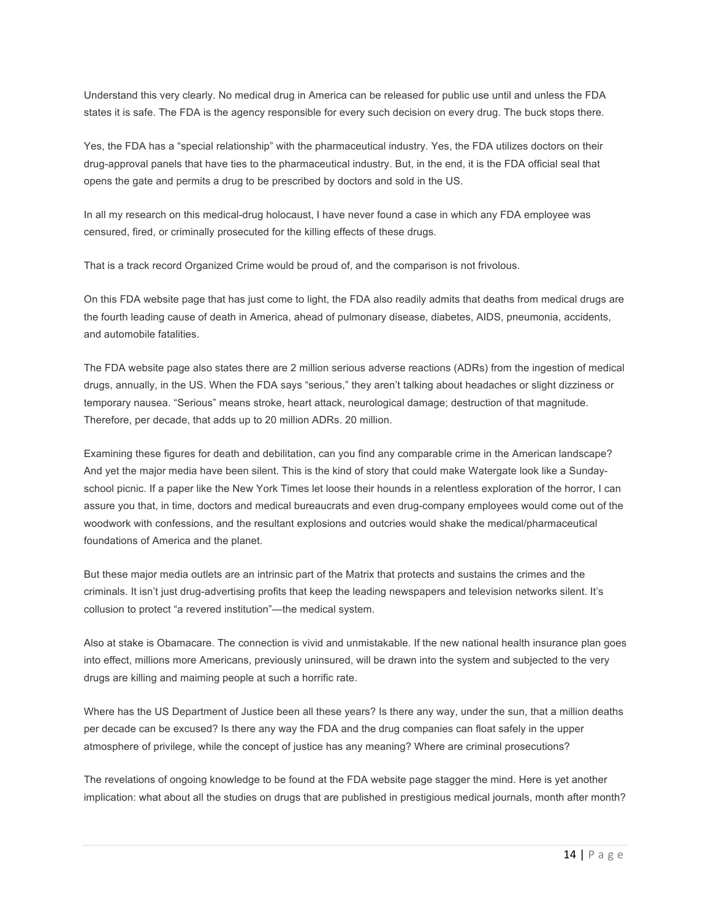Understand this very clearly. No medical drug in America can be released for public use until and unless the FDA states it is safe. The FDA is the agency responsible for every such decision on every drug. The buck stops there.

Yes, the FDA has a "special relationship" with the pharmaceutical industry. Yes, the FDA utilizes doctors on their drug-approval panels that have ties to the pharmaceutical industry. But, in the end, it is the FDA official seal that opens the gate and permits a drug to be prescribed by doctors and sold in the US.

In all my research on this medical-drug holocaust, I have never found a case in which any FDA employee was censured, fired, or criminally prosecuted for the killing effects of these drugs.

That is a track record Organized Crime would be proud of, and the comparison is not frivolous.

On this FDA website page that has just come to light, the FDA also readily admits that deaths from medical drugs are the fourth leading cause of death in America, ahead of pulmonary disease, diabetes, AIDS, pneumonia, accidents, and automobile fatalities.

The FDA website page also states there are 2 million serious adverse reactions (ADRs) from the ingestion of medical drugs, annually, in the US. When the FDA says "serious," they aren't talking about headaches or slight dizziness or temporary nausea. "Serious" means stroke, heart attack, neurological damage; destruction of that magnitude. Therefore, per decade, that adds up to 20 million ADRs. 20 million.

Examining these figures for death and debilitation, can you find any comparable crime in the American landscape? And yet the major media have been silent. This is the kind of story that could make Watergate look like a Sundayschool picnic. If a paper like the New York Times let loose their hounds in a relentless exploration of the horror, I can assure you that, in time, doctors and medical bureaucrats and even drug-company employees would come out of the woodwork with confessions, and the resultant explosions and outcries would shake the medical/pharmaceutical foundations of America and the planet.

But these major media outlets are an intrinsic part of the Matrix that protects and sustains the crimes and the criminals. It isn't just drug-advertising profits that keep the leading newspapers and television networks silent. It's collusion to protect "a revered institution"—the medical system.

Also at stake is Obamacare. The connection is vivid and unmistakable. If the new national health insurance plan goes into effect, millions more Americans, previously uninsured, will be drawn into the system and subjected to the very drugs are killing and maiming people at such a horrific rate.

Where has the US Department of Justice been all these years? Is there any way, under the sun, that a million deaths per decade can be excused? Is there any way the FDA and the drug companies can float safely in the upper atmosphere of privilege, while the concept of justice has any meaning? Where are criminal prosecutions?

The revelations of ongoing knowledge to be found at the FDA website page stagger the mind. Here is yet another implication: what about all the studies on drugs that are published in prestigious medical journals, month after month?